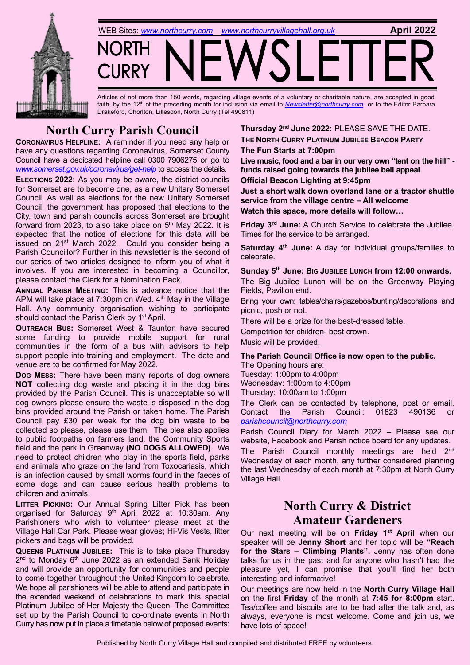



Articles of not more than 150 words, regarding village events of a voluntary or charitable nature, are accepted in good faith, by the 12<sup>th</sup> of the preceding month for inclusion via email to *[Newsletter@northcurry.com](mailto:Newsletter@northcurry.com)* or to the Editor Barbara Drakeford, Chorlton, Lillesdon, North Curry (Tel 490811)

## **North Curry Parish Council**

**CORONAVIRUS HELPLINE:** A reminder if you need any help or have any questions regarding Coronavirus, Somerset County Council have a dedicated helpline call 0300 7906275 or go to *[www.somerset.gov.uk/coronavirus/get](http://www.somerset.gov.uk/coronavirus/get-help)-help* to access the details.

**ELECTIONS 2022:** As you may be aware, the district councils for Somerset are to become one, as a new Unitary Somerset Council. As well as elections for the new Unitary Somerset Council, the government has proposed that elections to the City, town and parish councils across Somerset are brought forward from 2023, to also take place on  $5<sup>th</sup>$  May 2022. It is expected that the notice of elections for this date will be issued on 21<sup>st</sup> March 2022. Could you consider being a Parish Councillor? Further in this newsletter is the second of our series of two articles designed to inform you of what it involves. If you are interested in becoming a Councillor, please contact the Clerk for a Nomination Pack.

**ANNUAL PARISH MEETING:** This is advance notice that the APM will take place at 7:30pm on Wed.  $4<sup>th</sup>$  May in the Village Hall. Any community organisation wishing to participate should contact the Parish Clerk by 1<sup>st</sup> April.

**OUTREACH BUS:** Somerset West & Taunton have secured some funding to provide mobile support for rural communities in the form of a bus with advisors to help support people into training and employment. The date and venue are to be confirmed for May 2022.

**DOG MESS:** There have been many reports of dog owners **NOT** collecting dog waste and placing it in the dog bins provided by the Parish Council. This is unacceptable so will dog owners please ensure the waste is disposed in the dog bins provided around the Parish or taken home. The Parish Council pay £30 per week for the dog bin waste to be collected so please, please use them. The plea also applies to public footpaths on farmers land, the Community Sports field and the park in Greenway **(NO DOGS ALLOWED)**. We need to protect children who play in the sports field, parks and animals who graze on the land from Toxocariasis, which is an infection caused by small worms found in the faeces of some dogs and can cause serious health problems to children and animals.

**LITTER PICKING:** Our Annual Spring Litter Pick has been organised for Saturday 9<sup>th</sup> April 2022 at 10:30am. Any Parishioners who wish to volunteer please meet at the Village Hall Car Park. Please wear gloves; Hi-Vis Vests, litter pickers and bags will be provided.

**QUEENS PLATINUM JUBILEE:** This is to take place Thursday 2<sup>nd</sup> to Monday 6<sup>th</sup> June 2022 as an extended Bank Holiday and will provide an opportunity for communities and people to come together throughout the United Kingdom to celebrate. We hope all parishioners will be able to attend and participate in the extended weekend of celebrations to mark this special Platinum Jubilee of Her Majesty the Queen. The Committee set up by the Parish Council to co-ordinate events in North Curry has now put in place a timetable below of proposed events: **Thursday 2nd June 2022:** PLEASE SAVE THE DATE. **THE NORTH CURRY PLATINUM JUBILEE BEACON PARTY**

**The Fun Starts at 7:00pm**

**Live music, food and a bar in our very own "tent on the hill" funds raised going towards the jubilee bell appeal Official Beacon Lighting at 9:45pm**

**Just a short walk down overland lane or a tractor shuttle service from the village centre – All welcome Watch this space, more details will follow…**

**Friday 3rd June:** A Church Service to celebrate the Jubilee. Times for the service to be arranged.

**Saturday 4th June:** A day for individual groups/families to celebrate.

### **Sunday 5th June: BIG JUBILEE LUNCH from 12:00 onwards.**

The Big Jubilee Lunch will be on the Greenway Playing Fields, Pavilion end.

Bring your own: tables/chairs/gazebos/bunting/decorations and picnic, posh or not.

There will be a prize for the best-dressed table.

Competition for children- best crown.

Music will be provided.

## **The Parish Council Office is now open to the public.**

The Opening hours are: Tuesday: 1:00pm to 4:00pm Wednesday: 1:00pm to 4:00pm Thursday: 10:00am to 1:00pm

The Clerk can be contacted by telephone, post or email. Contact the Parish Council: 01823 490136 *[parishcouncil@northcurry.com](mailto:parishcouncil@northcurry.com)*

Parish Council Diary for March 2022 – Please see our website, Facebook and Parish notice board for any updates.

The Parish Council monthly meetings are held 2<sup>nd</sup> Wednesday of each month, any further considered planning the last Wednesday of each month at 7:30pm at North Curry Village Hall.

# **North Curry & District Amateur Gardeners**

Our next meeting will be on **Friday 1st April** when our speaker will be **Jenny Short** and her topic will be **"Reach for the Stars – Climbing Plants".** Jenny has often done talks for us in the past and for anyone who hasn't had the pleasure yet, I can promise that you'll find her both interesting and informative!

Our meetings are now held in the **North Curry Village Hall** on the first **Friday** of the month at **7:45 for 8:00pm** start. Tea/coffee and biscuits are to be had after the talk and, as always, everyone is most welcome. Come and join us, we have lots of space!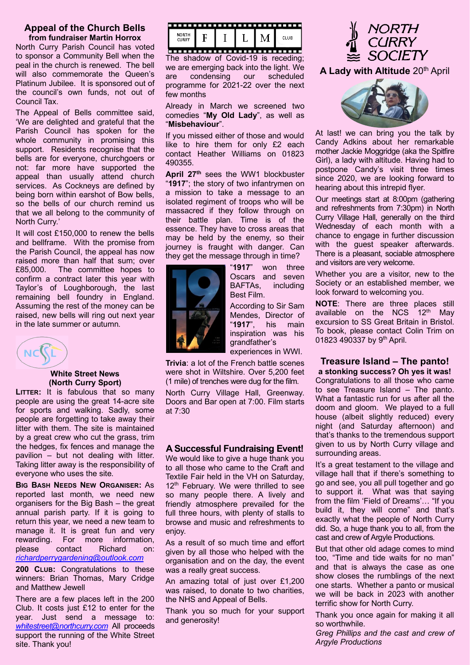#### **Appeal of the Church Bells from fundraiser Martin Horrox**

North Curry Parish Council has voted to sponsor a Community Bell when the peal in the church is renewed. The bell will also commemorate the Queen's Platinum Jubilee. It is sponsored out of the council's own funds, not out of Council Tax.

The Appeal of Bells committee said, 'We are delighted and grateful that the Parish Council has spoken for the whole community in promising this support. Residents recognise that the bells are for everyone, churchgoers or not: far more have supported the appeal than usually attend church services. As Cockneys are defined by being born within earshot of Bow bells, so the bells of our church remind us that we all belong to the community of North Curry.'

It will cost £150,000 to renew the bells and bellframe. With the promise from the Parish Council, the appeal has now raised more than half that sum; over £85,000. The committee hopes to confirm a contract later this year with Taylor's of Loughborough, the last remaining bell foundry in England. Assuming the rest of the money can be raised, new bells will ring out next year in the late summer or autumn.



#### **White Street News (North Curry Sport)**

**LITTER:** It is fabulous that so many people are using the great 14-acre site for sports and walking. Sadly, some people are forgetting to take away their litter with them. The site is maintained by a great crew who cut the grass, trim the hedges, fix fences and manage the pavilion – but not dealing with litter. Taking litter away is the responsibility of everyone who uses the site.

**BIG BASH NEEDS NEW ORGANISER:** As reported last month, we need new organisers for the Big Bash – the great annual parish party. If it is going to return this year, we need a new team to manage it. It is great fun and very rewarding. For more information, please contact Richard on: *[richardperrygardening@outlook.com](mailto:richardperrygardening@outlook.com)*

**200 CLUB:** Congratulations to these winners: Brian Thomas, Mary Cridge and Matthew Jewell

There are a few places left in the 200 Club. It costs just £12 to enter for the year. Just send a message to: *[whitestreet@northcurry.com](mailto:whitestreet@northcurry.com)* All proceeds support the running of the White Street site. Thank you!



The shadow of Covid-19 is receding; we are emerging back into the light. We are condensing our scheduled programme for 2021-22 over the next few months

Already in March we screened two comedies "**My Old Lady**", as well as "**Misbehaviour**".

If you missed either of those and would like to hire them for only £2 each contact Heather Williams on 01823 490355.

**April 27th** sees the WW1 blockbuster "**1917**"; the story of two infantrymen on a mission to take a message to an isolated regiment of troops who will be massacred if they follow through on their battle plan. Time is of the essence. They have to cross areas that may be held by the enemy, so their journey is fraught with danger. Can they get the message through in time?



"**1917**" won three Oscars and seven BAFTAs, including Best Film.

According to Sir Sam Mendes, Director of "**1917**", his main inspiration was his grandfather's experiences in WWI.

**Trivia**: a lot of the French battle scenes were shot in Wiltshire. Over 5,200 feet

(1 mile) of trenches were dug for the film. North Curry Village Hall, Greenway. Doors and Bar open at 7:00. Film starts at 7:30

### **A Successful Fundraising Event!**

We would like to give a huge thank you to all those who came to the Craft and Textile Fair held in the VH on Saturday, 12<sup>th</sup> February. We were thrilled to see so many people there. A lively and friendly atmosphere prevailed for the full three hours, with plenty of stalls to browse and music and refreshments to enjoy.

As a result of so much time and effort given by all those who helped with the organisation and on the day, the event was a really great success.

An amazing total of just over £1,200 was raised, to donate to two charities, the NHS and Appeal of Bells.

Thank you so much for your support and generosity!



**A Lady with Altitude** 20th April



At last! we can bring you the talk by Candy Adkins about her remarkable mother Jackie Moggridge (aka the Spitfire Girl), a lady with altitude. Having had to postpone Candy's visit three times since 2020, we are looking forward to hearing about this intrepid flyer.

Our meetings start at 8:00pm (gathering and refreshments from 7:30pm) in North Curry Village Hall, generally on the third Wednesday of each month with a chance to engage in further discussion with the guest speaker afterwards. There is a pleasant, sociable atmosphere and visitors are very welcome.

Whether you are a visitor, new to the Society or an established member, we look forward to welcoming you.

**NOTE**: There are three places still available on the NCS  $12<sup>th</sup>$  Mav excursion to SS Great Britain in Bristol. To book, please contact Colin Trim on 01823 490337 by 9<sup>th</sup> April.

## **Treasure Island – The panto!**

**a stonking success? Oh yes it was!** Congratulations to all those who came to see Treasure Island – The panto. What a fantastic run for us after all the doom and gloom. We played to a full house (albeit slightly reduced) every night (and Saturday afternoon) and that's thanks to the tremendous support given to us by North Curry village and surrounding areas.

It's a great testament to the village and village hall that if there's something to go and see, you all pull together and go to support it. What was that saying from the film 'Field of Dreams'… "If you build it, they will come" and that's exactly what the people of North Curry did. So, a huge thank you to all, from the cast and crew of Argyle Productions.

But that other old adage comes to mind too, "Time and tide waits for no man" and that is always the case as one show closes the rumblings of the next one starts. Whether a panto or musical we will be back in 2023 with another terrific show for North Curry.

Thank you once again for making it all so worthwhile.

*Greg Phillips and the cast and crew of Argyle Productions*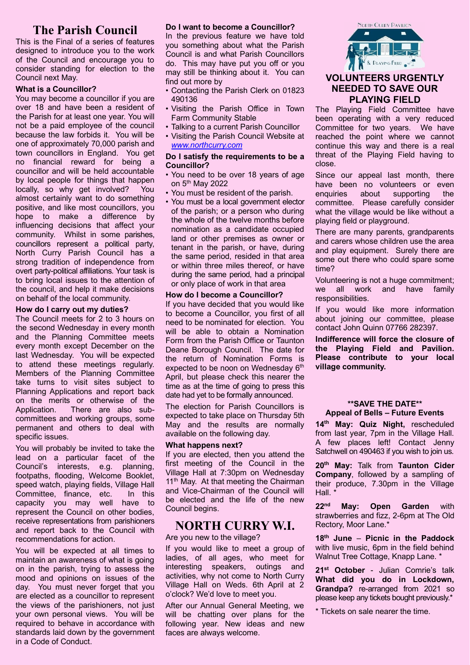## **The Parish Council**

This is the Final of a series of features designed to introduce you to the work of the Council and encourage you to consider standing for election to the Council next May.

#### **What is a Councillor?**

You may become a councillor if you are over 18 and have been a resident of the Parish for at least one year. You will not be a paid employee of the council because the law forbids it. You will be one of approximately 70,000 parish and town councillors in England. You get no financial reward for being a councillor and will be held accountable by local people for things that happen locally, so why get involved? You almost certainly want to do something positive, and like most councillors, you hope to make a difference by influencing decisions that affect your community. Whilst in some parishes, councillors represent a political party, North Curry Parish Council has a strong tradition of independence from overt party-political affiliations. Your task is to bring local issues to the attention of the council, and help it make decisions on behalf of the local community.

#### **How do I carry out my duties?**

The Council meets for 2 to 3 hours on the second Wednesday in every month and the Planning Committee meets every month except December on the last Wednesday. You will be expected to attend these meetings regularly. Members of the Planning Committee take turns to visit sites subject to Planning Applications and report back on the merits or otherwise of the Application. There are also subcommittees and working groups, some permanent and others to deal with specific issues.

You will probably be invited to take the lead on a particular facet of the Council's interests, e.g. planning, footpaths, flooding, Welcome Booklet, speed watch, playing fields, Village Hall Committee, finance, etc. In this capacity you may well have to represent the Council on other bodies, receive representations from parishioners and report back to the Council with recommendations for action.

You will be expected at all times to maintain an awareness of what is going on in the parish, trying to assess the mood and opinions on issues of the day. You must never forget that you are elected as a councillor to represent the views of the parishioners, not just your own personal views. You will be required to behave in accordance with standards laid down by the government in a Code of Conduct.

#### **Do I want to become a Councillor?**

In the previous feature we have told you something about what the Parish Council is and what Parish Councillors do. This may have put you off or you may still be thinking about it. You can find out more by

- Contacting the Parish Clerk on 01823 490136
- Visiting the Parish Office in Town Farm Community Stable
- Talking to a current Parish Councillor
- Visiting the Parish Council Website at *[www.northcurry.com](http://www.northcurry.com/)*

#### **Do I satisfy the requirements to be a Councillor?**

- You need to be over 18 years of age on 5th May 2022
- You must be resident of the parish.
- You must be a local government elector of the parish; or a person who during the whole of the twelve months before nomination as a candidate occupied land or other premises as owner or tenant in the parish, or have, during the same period, resided in that area or within three miles thereof, or have during the same period, had a principal or only place of work in that area

#### **How do I become a Councillor?**

If you have decided that you would like to become a Councillor, you first of all need to be nominated for election. You will be able to obtain a Nomination Form from the Parish Office or Taunton Deane Borough Council. The date for the return of Nomination Forms is expected to be noon on Wednesday  $6<sup>th</sup>$ April, but please check this nearer the time as at the time of going to press this date had yet to be formally announced.

The election for Parish Councillors is expected to take place on Thursday 5th May and the results are normally available on the following day.

#### **What happens next?**

If you are elected, then you attend the first meeting of the Council in the Village Hall at 7:30pm on Wednesday 11<sup>th</sup> May. At that meeting the Chairman and Vice-Chairman of the Council will be elected and the life of the new Council begins.

### **NORTH CURRY W.I.**

#### Are you new to the village?

If you would like to meet a group of ladies, of all ages, who meet for interesting speakers, outings and activities, why not come to North Curry Village Hall on Weds. 6th April at 2 o'clock? We'd love to meet you.

After our Annual General Meeting, we will be chatting over plans for the following year. New ideas and new faces are always welcome.



### **VOLUNTEERS URGENTLY NEEDED TO SAVE OUR PLAYING FIELD**

The Playing Field Committee have been operating with a very reduced Committee for two years. We have reached the point where we cannot continue this way and there is a real threat of the Playing Field having to close.

Since our appeal last month, there have been no volunteers or even enquiries about supporting the committee. Please carefully consider what the village would be like without a playing field or playground.

There are many parents, grandparents and carers whose children use the area and play equipment. Surely there are some out there who could spare some time?

Volunteering is not a huge commitment; we all work and have family responsibilities.

If you would like more information about joining our committee, please contact John Quinn 07766 282397.

**Indifference will force the closure of the Playing Field and Pavilion. Please contribute to your local village community.**

#### **\*\*SAVE THE DATE\*\* Appeal of Bells – Future Events**

**14th May: Quiz Night,** rescheduled from last year, 7pm in the Village Hall. A few places left! Contact Jenny Satchwell on 490463 if you wish to join us.

**20th May:** Talk from **Taunton Cider Company**, followed by a sampling of their produce, 7.30pm in the Village Hall.

**22 May: Open Garden** with strawberries and fizz, 2-6pm at The Old Rectory, Moor Lane.\*

**18th June** – **Picnic in the Paddock** with live music, 6pm in the field behind Walnut Tree Cottage, Knapp Lane. \*

**21st October** - Julian Comrie's talk **What did you do in Lockdown, Grandpa?** re-arranged from 2021 so please keep any tickets bought previously.\*

\* Tickets on sale nearer the time.